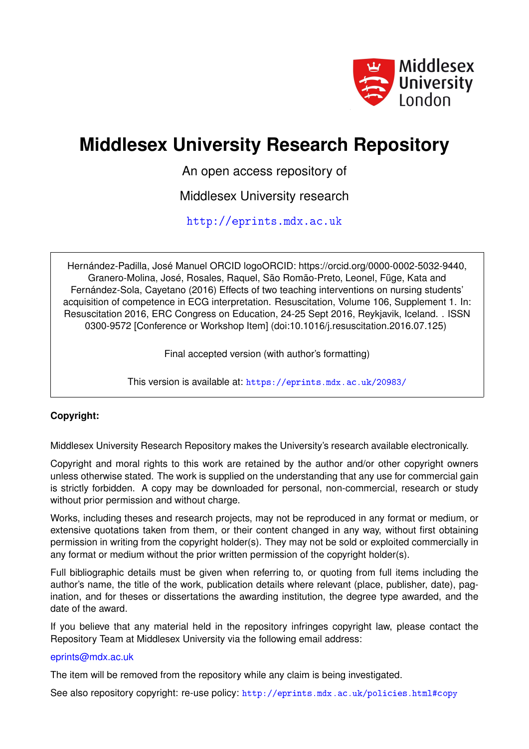

# **Middlesex University Research Repository**

An open access repository of

Middlesex University research

<http://eprints.mdx.ac.uk>

Hernández-Padilla, José Manuel ORCID logoORCID: https://orcid.org/0000-0002-5032-9440, Granero-Molina, José, Rosales, Raquel, São Romão-Preto, Leonel, Füge, Kata and Fernández-Sola, Cayetano (2016) Effects of two teaching interventions on nursing students' acquisition of competence in ECG interpretation. Resuscitation, Volume 106, Supplement 1. In: Resuscitation 2016, ERC Congress on Education, 24-25 Sept 2016, Reykjavik, Iceland. . ISSN 0300-9572 [Conference or Workshop Item] (doi:10.1016/j.resuscitation.2016.07.125)

Final accepted version (with author's formatting)

This version is available at: <https://eprints.mdx.ac.uk/20983/>

## **Copyright:**

Middlesex University Research Repository makes the University's research available electronically.

Copyright and moral rights to this work are retained by the author and/or other copyright owners unless otherwise stated. The work is supplied on the understanding that any use for commercial gain is strictly forbidden. A copy may be downloaded for personal, non-commercial, research or study without prior permission and without charge.

Works, including theses and research projects, may not be reproduced in any format or medium, or extensive quotations taken from them, or their content changed in any way, without first obtaining permission in writing from the copyright holder(s). They may not be sold or exploited commercially in any format or medium without the prior written permission of the copyright holder(s).

Full bibliographic details must be given when referring to, or quoting from full items including the author's name, the title of the work, publication details where relevant (place, publisher, date), pagination, and for theses or dissertations the awarding institution, the degree type awarded, and the date of the award.

If you believe that any material held in the repository infringes copyright law, please contact the Repository Team at Middlesex University via the following email address:

## [eprints@mdx.ac.uk](mailto:eprints@mdx.ac.uk)

The item will be removed from the repository while any claim is being investigated.

See also repository copyright: re-use policy: <http://eprints.mdx.ac.uk/policies.html#copy>